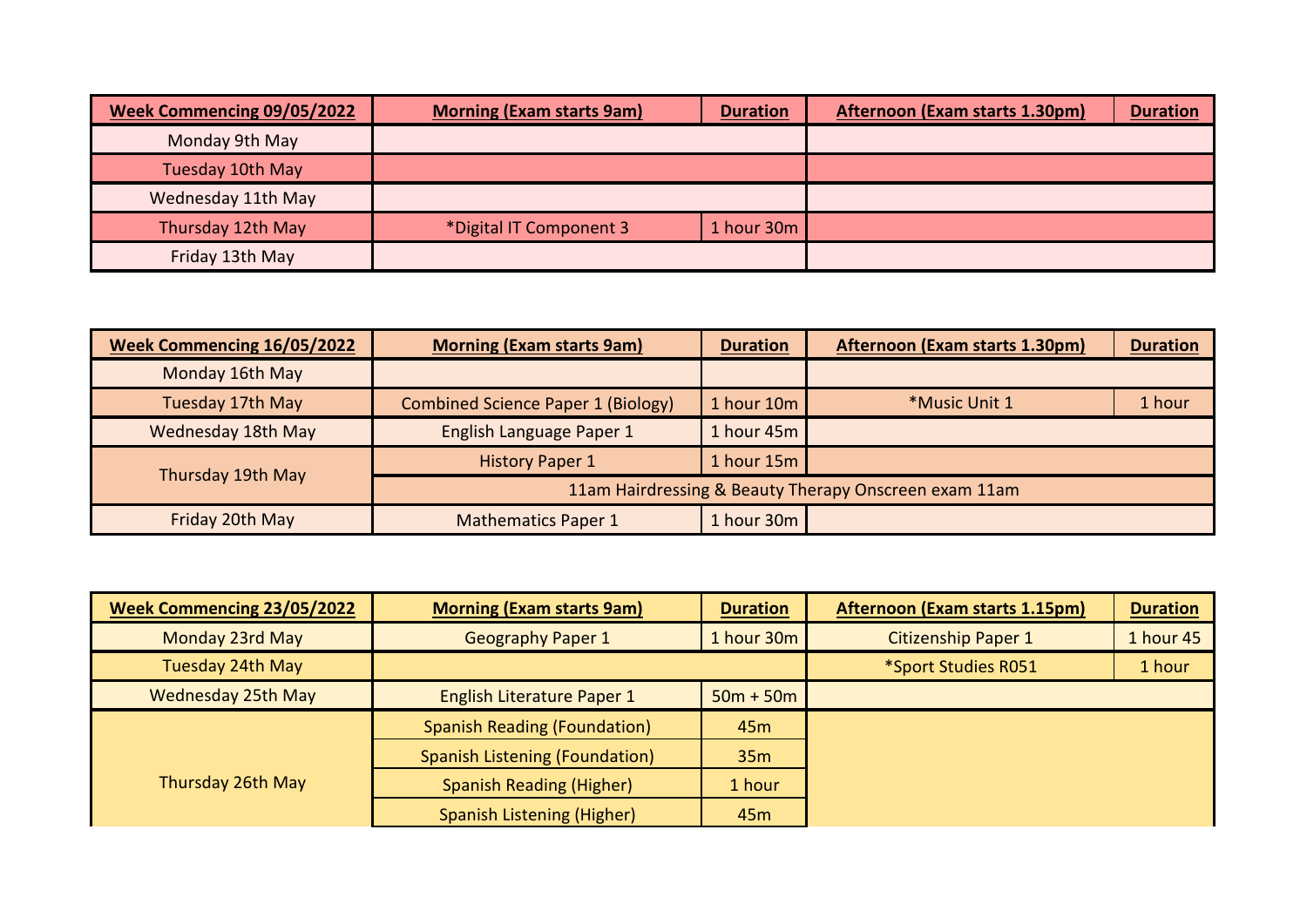| <b>Week Commencing 09/05/2022</b> | <b>Morning (Exam starts 9am)</b> | <b>Duration</b> | Afternoon (Exam starts 1.30pm) | <b>Duration</b> |
|-----------------------------------|----------------------------------|-----------------|--------------------------------|-----------------|
| Monday 9th May                    |                                  |                 |                                |                 |
| Tuesday 10th May                  |                                  |                 |                                |                 |
| Wednesday 11th May                |                                  |                 |                                |                 |
| Thursday 12th May                 | *Digital IT Component 3          | 1 hour 30m      |                                |                 |
| Friday 13th May                   |                                  |                 |                                |                 |

| <b>Week Commencing 16/05/2022</b> | <b>Morning (Exam starts 9am)</b>          | <b>Duration</b> | Afternoon (Exam starts 1.30pm)                        | <b>Duration</b> |
|-----------------------------------|-------------------------------------------|-----------------|-------------------------------------------------------|-----------------|
| Monday 16th May                   |                                           |                 |                                                       |                 |
| Tuesday 17th May                  | <b>Combined Science Paper 1 (Biology)</b> | 1 hour 10m      | *Music Unit 1                                         | 1 hour          |
| Wednesday 18th May                | English Language Paper 1                  | 1 hour 45m      |                                                       |                 |
| Thursday 19th May                 | <b>History Paper 1</b>                    | 1 hour 15m      |                                                       |                 |
|                                   |                                           |                 | 11am Hairdressing & Beauty Therapy Onscreen exam 11am |                 |
| Friday 20th May                   | <b>Mathematics Paper 1</b>                | 1 hour 30m      |                                                       |                 |

| <b>Week Commencing 23/05/2022</b> | <b>Morning (Exam starts 9am)</b>      | <b>Duration</b> | Afternoon (Exam starts 1.15pm) | <b>Duration</b> |
|-----------------------------------|---------------------------------------|-----------------|--------------------------------|-----------------|
| Monday 23rd May                   | <b>Geography Paper 1</b>              | 1 hour 30m      | <b>Citizenship Paper 1</b>     | 1 hour 45       |
| Tuesday 24th May                  |                                       |                 | *Sport Studies R051            | 1 hour          |
| <b>Wednesday 25th May</b>         | <b>English Literature Paper 1</b>     | $50m + 50m$     |                                |                 |
|                                   | <b>Spanish Reading (Foundation)</b>   | 45 <sub>m</sub> |                                |                 |
|                                   | <b>Spanish Listening (Foundation)</b> | 35m             |                                |                 |
| Thursday 26th May                 | <b>Spanish Reading (Higher)</b>       | 1 hour          |                                |                 |
|                                   | Spanish Listening (Higher)            | 45 <sub>m</sub> |                                |                 |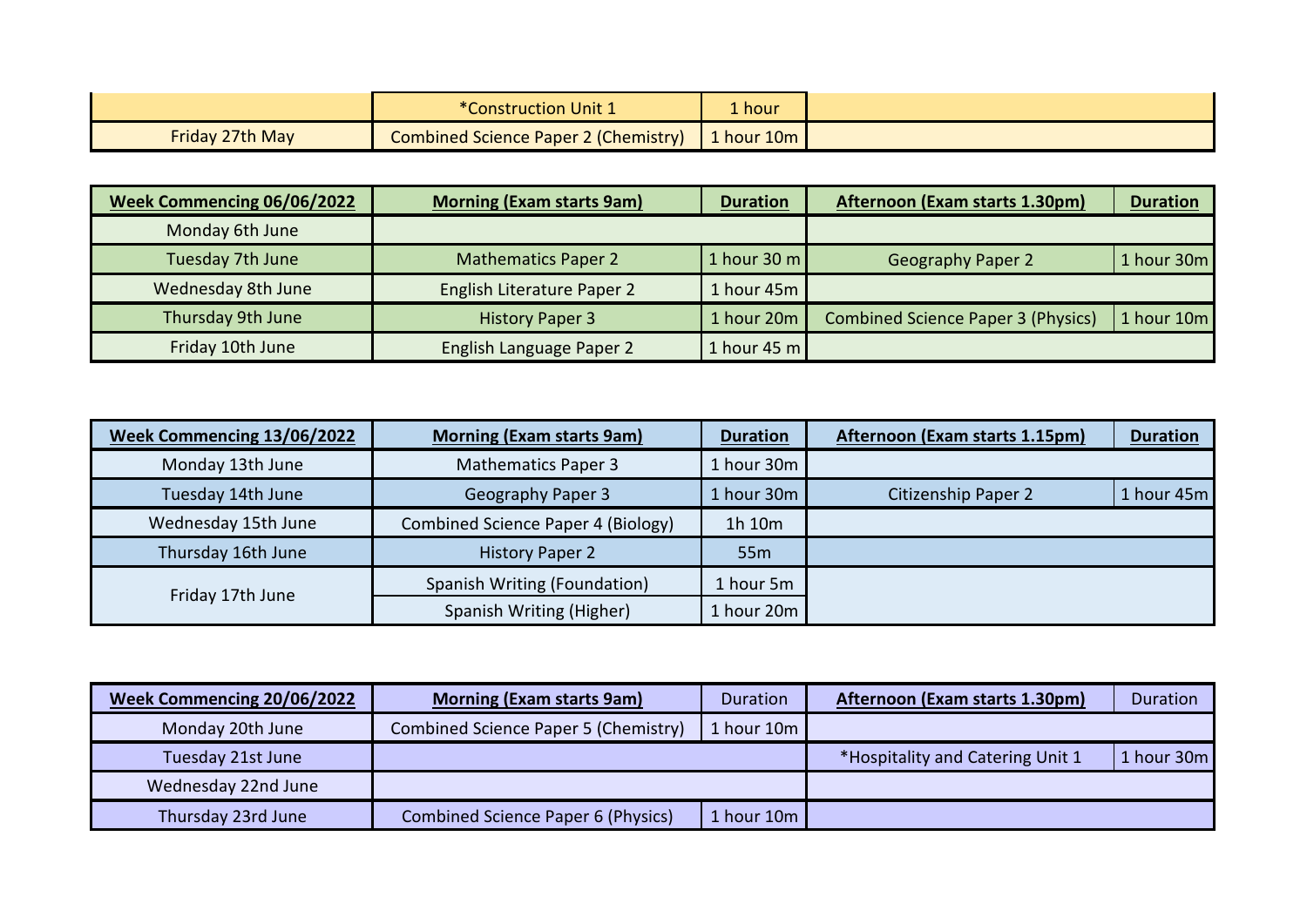|                        | <b>*Construction Unit 1</b>          | $\blacktriangle$ hour |  |
|------------------------|--------------------------------------|-----------------------|--|
| <b>Friday 27th May</b> | Combined Science Paper 2 (Chemistry) | 1 hour $10m$          |  |

| Week Commencing 06/06/2022 | <b>Morning (Exam starts 9am)</b> | <b>Duration</b> | Afternoon (Exam starts 1.30pm)            | <b>Duration</b> |
|----------------------------|----------------------------------|-----------------|-------------------------------------------|-----------------|
| Monday 6th June            |                                  |                 |                                           |                 |
| Tuesday 7th June           | <b>Mathematics Paper 2</b>       | 1 hour 30 $m$   | <b>Geography Paper 2</b>                  | 1 hour 30m      |
| Wednesday 8th June         | English Literature Paper 2       | 1 hour 45m      |                                           |                 |
| Thursday 9th June          | <b>History Paper 3</b>           | 1 hour 20m      | <b>Combined Science Paper 3 (Physics)</b> | 1 hour 10m      |
| Friday 10th June           | English Language Paper 2         | 1 hour 45 $m$   |                                           |                 |

| Week Commencing 13/06/2022 | <b>Morning (Exam starts 9am)</b>   | <b>Duration</b> | Afternoon (Exam starts 1.15pm) | <b>Duration</b> |
|----------------------------|------------------------------------|-----------------|--------------------------------|-----------------|
| Monday 13th June           | <b>Mathematics Paper 3</b>         | 1 hour 30m      |                                |                 |
| Tuesday 14th June          | <b>Geography Paper 3</b>           | 1 hour 30m      | <b>Citizenship Paper 2</b>     | 1 hour 45m      |
| Wednesday 15th June        | Combined Science Paper 4 (Biology) | 1h 10m          |                                |                 |
| Thursday 16th June         | <b>History Paper 2</b>             | 55 <sub>m</sub> |                                |                 |
| Friday 17th June           | Spanish Writing (Foundation)       | 1 hour 5m       |                                |                 |
|                            | Spanish Writing (Higher)           | 1 hour 20m      |                                |                 |

| Week Commencing 20/06/2022 | <b>Morning (Exam starts 9am)</b>     | Duration   | Afternoon (Exam starts 1.30pm)   | Duration   |
|----------------------------|--------------------------------------|------------|----------------------------------|------------|
| Monday 20th June           | Combined Science Paper 5 (Chemistry) | 1 hour 10m |                                  |            |
| Tuesday 21st June          |                                      |            | *Hospitality and Catering Unit 1 | 1 hour 30m |
| Wednesday 22nd June        |                                      |            |                                  |            |
| Thursday 23rd June         | Combined Science Paper 6 (Physics)   | 1 hour 10m |                                  |            |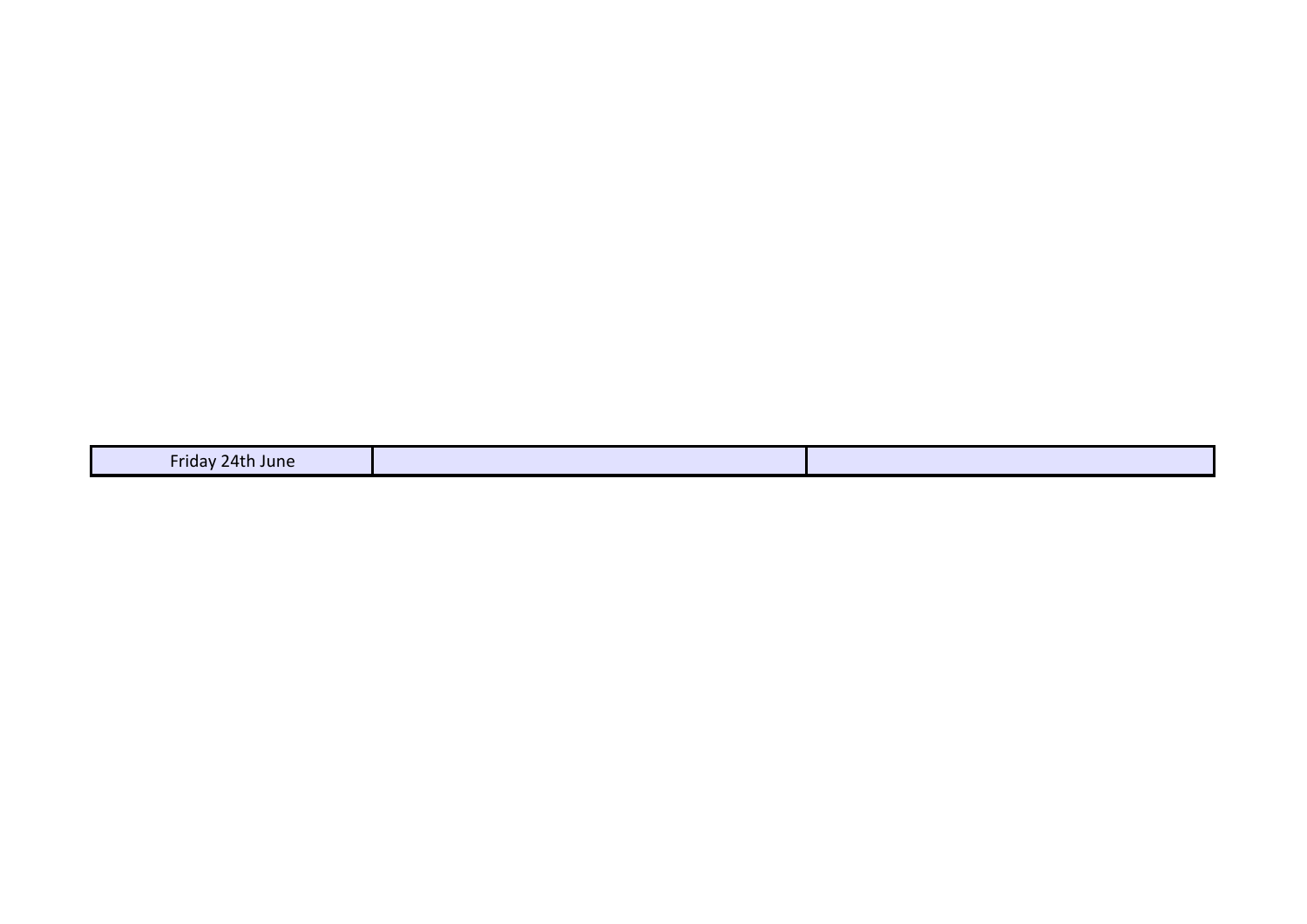| $-$<br>-ri<br><b>Tune</b><br>ີ<br>71<br>$\overline{\phantom{a}}$ |
|------------------------------------------------------------------|
|------------------------------------------------------------------|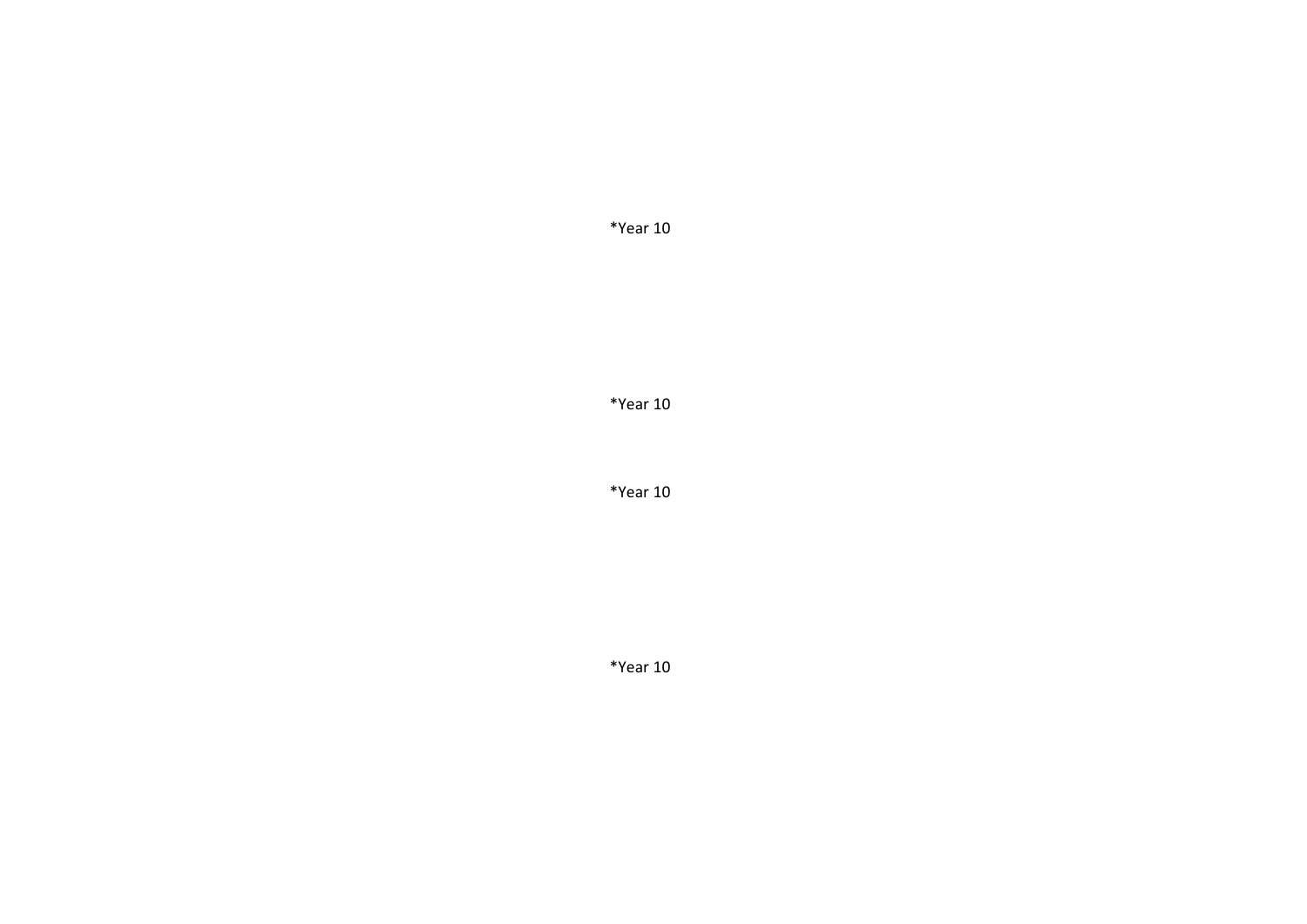\*Year 10

\*Year 10

\*Year 10

\*Year 10